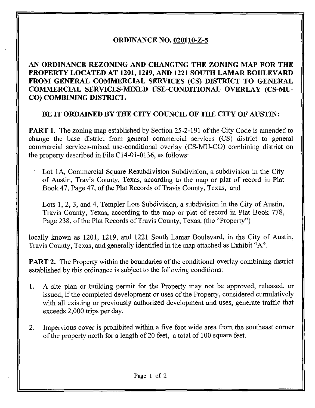## ORDINANCE NO. 020110-Z-5

AN ORDINANCE REZONING AND CHANGING THE ZONING MAP FOR THE PROPERTY LOCATED AT 1201,1219, AND 1221 SOUTH LAMAR BOULEVARD FROM GENERAL COMMERCIAL SERVICES (CS) DISTRICT TO GENERAL COMMERCIAL SERVICES-MIXED USE^CONDITIONAL OVERLAY (CS-MU-CO) COMBINING DISTRICT.

## BE IT ORDAINED BY THE CITY COUNCIL OF THE CITY OF AUSTIN:

**PART 1.** The zoning map established by Section 25-2-191 of the City Code is amended to change the base district from general commercial services (CS) district to general commercial services-mixed use-conditional overlay (CS-MU-CO) combining district on the property described in File C14-01-0136, as follows:

Lot 1A, Commercial Square Resubdivision Subdivision, a subdivision in the City of Austin, Travis County, Texas, according to the map or plat of record in Plat Book 47, Page 47, of the Plat Records of Travis County, Texas, and

Lots 1, 2, 3, and 4, Templer Lots Subdivision, a subdivision in the City of Austin, Travis County, Texas, according to the map or plat of record in Plat Book 778, Page 238, of the Plat Records of Travis County, Texas, (the "Property")

locally known as 1201, 1219, and 1221 South Lamar Boulevard, in the City of Austin, Travis County, Texas, and generally identified in the map attached as Exhibit "A",

PART 2. The Property within the boundaries of the conditional overlay combining district established by this ordinance is subject to the following conditions:

- 1. A site plan or building permit for the Property may not be approved, released, or issued, if the completed development or uses of the Property, considered cumulatively with all existing or previously authorized development and uses, generate traffic that exceeds 2,000 trips per day.
- 2, Impervious cover is prohibited within a five foot wide area from the southeast corner of the property north for a length of 20 feet, a total of 100 square feet.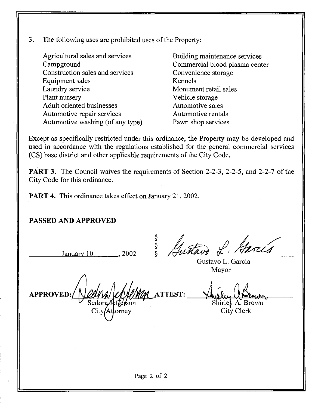3. The following uses are prohibited uses of the Property:

Agricultural sales and services Campground Construction sales and services Equipment sales Laundry service Plant nursery Adult oriented businesses Automotive repair services Automotive washing (of any type)

Building maintenance services Commercial blood plasma center Convenience storage Kennels Monument retail sales Vehicle storage Automotive sales Automotive rentals Pawn shop services

Except as specifically restricted under this ordinance, the Property may be developed and used in accordance with the regulations established for the general commercial services (CS) base district and other applicable requirements of the City Code.

PART 3. The Council waives the requirements of Section 2-2-3, 2-2-5, and 2-2-7 of the City Code for this ordinance.

PART 4. This ordinance takes effect on January 21, 2002.

## PASSED AND APPROVED

January  $10$ ,  $2002$ 

§<br>§<br>ઠ

Gustavo L. Garcia Mayor

**APPROVEI**  $Sedora J$ City *(At*torney **ATTEST:** 

Shirley A. Brown

City Clerk